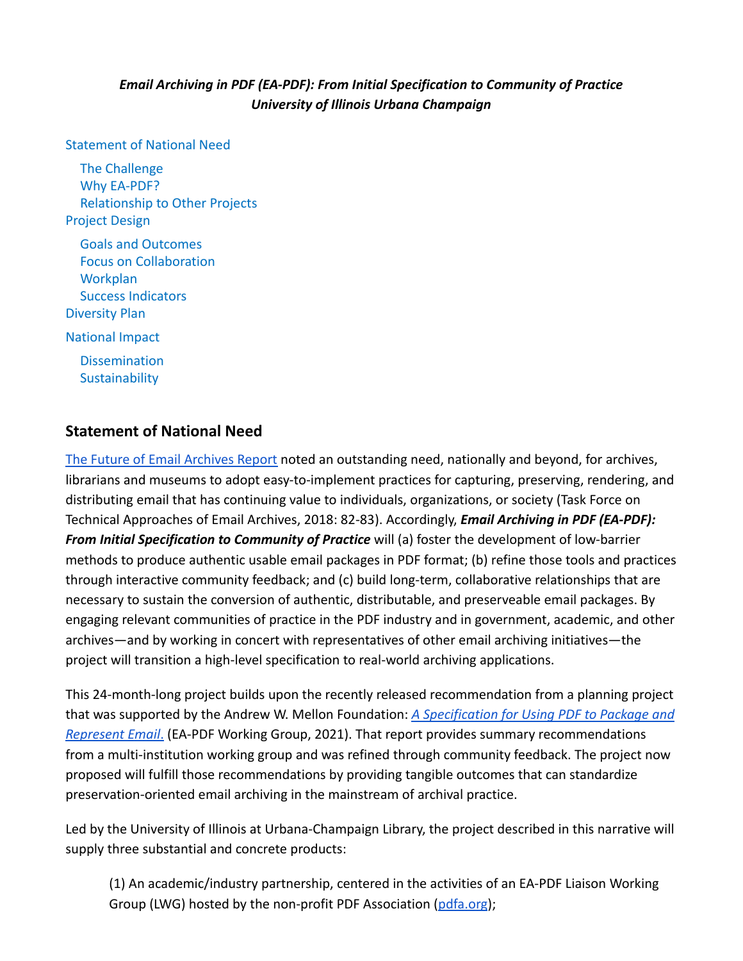# *Email Archiving in PDF (EA-PDF): From Initial Specification to Community of Practice University of Illinois Urbana Champaign*

#### [Statement of National Need](#page-0-0)

[The Challenge](#page-1-0) [Why EA-PDF?](#page-1-1) [Relationship to Other Projects](#page-2-0) [Project Design](#page-3-0) [Goals and Outcomes](#page-3-1) [Focus on Collaboration](#page-5-0) **[Workplan](#page-5-1)** [Success Indicators](#page-7-0) [Diversity Plan](#page-7-1) [National Impact](#page-8-0) **[Dissemination](#page-9-0) [Sustainability](#page-9-1)** 

## <span id="page-0-0"></span>**Statement of National Need**

[The Future of Email Archives Report](https://www.clir.org/pubs/reports/pub175/) noted an outstanding need, nationally and beyond, for archives, librarians and museums to adopt easy-to-implement practices for capturing, preserving, rendering, and distributing email that has continuing value to individuals, organizations, or society (Task Force on Technical Approaches of Email Archives, 2018: 82‐83). Accordingly, *Email Archiving in PDF (EA-PDF): From Initial Specification to Community of Practice* will (a) foster the development of low-barrier methods to produce authentic usable email packages in PDF format; (b) refine those tools and practices through interactive community feedback; and (c) build long-term, collaborative relationships that are necessary to sustain the conversion of authentic, distributable, and preserveable email packages. By engaging relevant communities of practice in the PDF industry and in government, academic, and other archives—and by working in concert with representatives of other email archiving initiatives—the project will transition a high-level specification to real-world archiving applications.

This 24-month-long project builds upon the recently released recommendation from a planning project that was supported by the Andrew W. Mellon Foundation: *[A Specification for Using PDF to Package and](https://www.ideals.illinois.edu/handle/2142/109251) [Represent Email](https://www.ideals.illinois.edu/handle/2142/109251)*. (EA-PDF Working Group, 2021). That report provides summary recommendations from a multi-institution working group and was refined through community feedback. The project now proposed will fulfill those recommendations by providing tangible outcomes that can standardize preservation-oriented email archiving in the mainstream of archival practice.

Led by the University of Illinois at Urbana-Champaign Library, the project described in this narrative will supply three substantial and concrete products:

(1) An academic/industry partnership, centered in the activities of an EA-PDF Liaison Working Group (LWG) hosted by the non-profit PDF Association [\(pdfa.org](https://www.pdfa.org));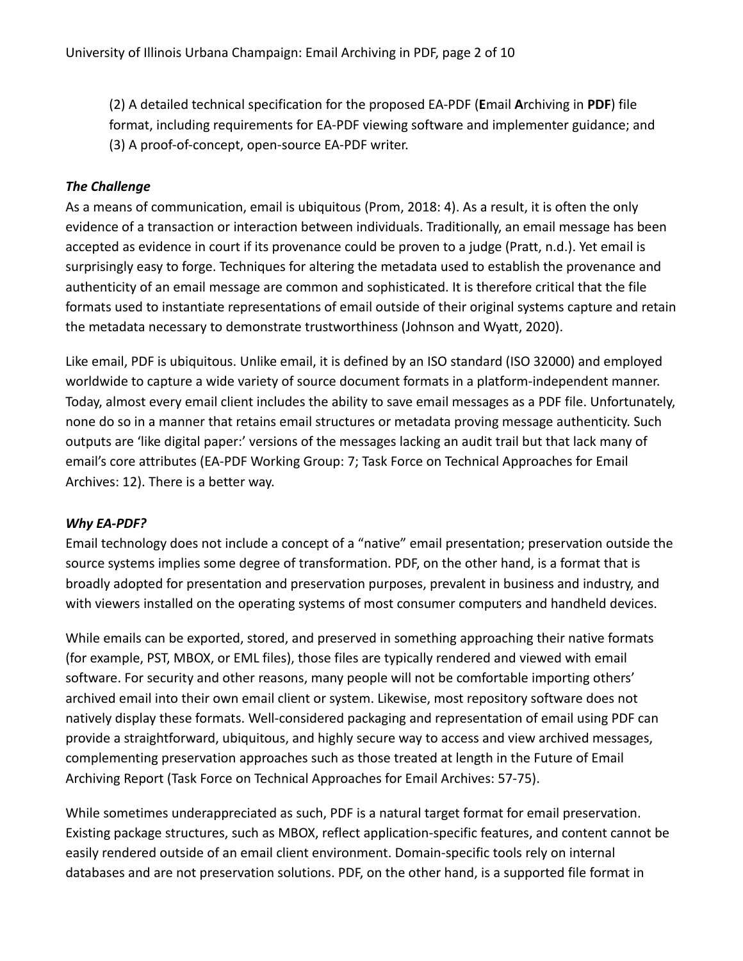(2) A detailed technical specification for the proposed EA-PDF (**E**mail **A**rchiving in **PDF**) file format, including requirements for EA-PDF viewing software and implementer guidance; and (3) A proof-of-concept, open-source EA-PDF writer.

### <span id="page-1-0"></span>*The Challenge*

As a means of communication, email is ubiquitous (Prom, 2018: 4). As a result, it is often the only evidence of a transaction or interaction between individuals. Traditionally, an email message has been accepted as evidence in court if its provenance could be proven to a judge (Pratt, n.d.). Yet email is surprisingly easy to forge. Techniques for altering the metadata used to establish the provenance and authenticity of an email message are common and sophisticated. It is therefore critical that the file formats used to instantiate representations of email outside of their original systems capture and retain the metadata necessary to demonstrate trustworthiness (Johnson and Wyatt, 2020).

Like email, PDF is ubiquitous. Unlike email, it is defined by an ISO standard (ISO 32000) and employed worldwide to capture a wide variety of source document formats in a platform-independent manner. Today, almost every email client includes the ability to save email messages as a PDF file. Unfortunately, none do so in a manner that retains email structures or metadata proving message authenticity. Such outputs are 'like digital paper:' versions of the messages lacking an audit trail but that lack many of email's core attributes (EA-PDF Working Group: 7; Task Force on Technical Approaches for Email Archives: 12). There is a better way.

### <span id="page-1-1"></span>*Why EA-PDF?*

Email technology does not include a concept of a "native" email presentation; preservation outside the source systems implies some degree of transformation. PDF, on the other hand, is a format that is broadly adopted for presentation and preservation purposes, prevalent in business and industry, and with viewers installed on the operating systems of most consumer computers and handheld devices.

While emails can be exported, stored, and preserved in something approaching their native formats (for example, PST, MBOX, or EML files), those files are typically rendered and viewed with email software. For security and other reasons, many people will not be comfortable importing others' archived email into their own email client or system. Likewise, most repository software does not natively display these formats. Well-considered packaging and representation of email using PDF can provide a straightforward, ubiquitous, and highly secure way to access and view archived messages, complementing preservation approaches such as those treated at length in the Future of Email Archiving Report (Task Force on Technical Approaches for Email Archives: 57-75).

While sometimes underappreciated as such, PDF is a natural target format for email preservation. Existing package structures, such as MBOX, reflect application‐specific features, and content cannot be easily rendered outside of an email client environment. Domain‐specific tools rely on internal databases and are not preservation solutions. PDF, on the other hand, is a supported file format in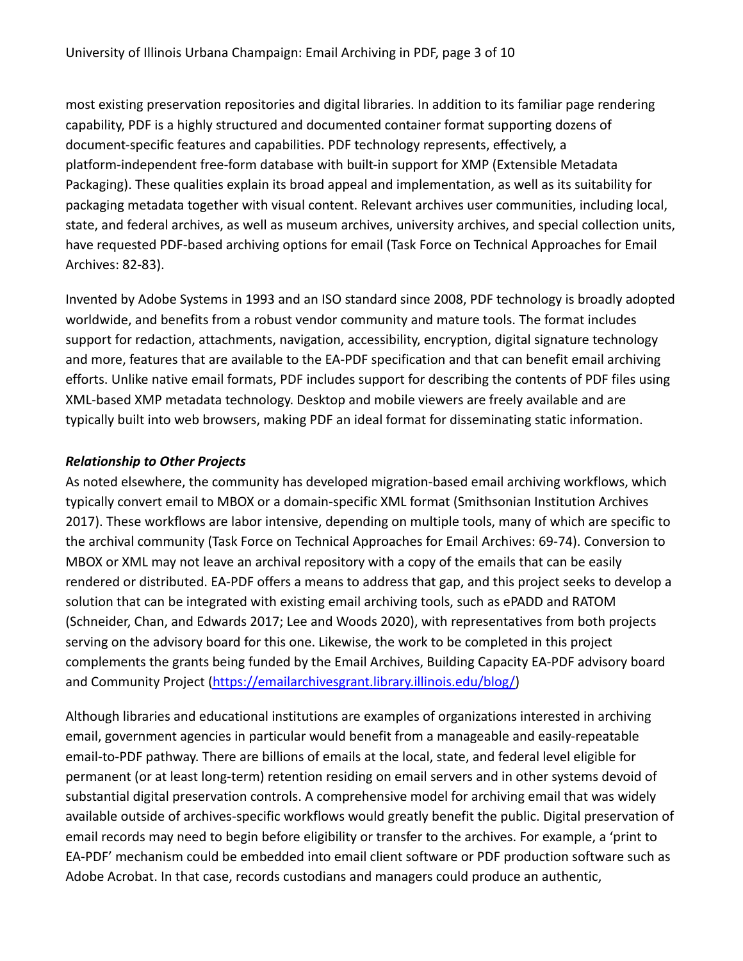most existing preservation repositories and digital libraries. In addition to its familiar page rendering capability, PDF is a highly structured and documented container format supporting dozens of document-specific features and capabilities. PDF technology represents, effectively, a platform‐independent free‐form database with built-in support for XMP (Extensible Metadata Packaging). These qualities explain its broad appeal and implementation, as well as its suitability for packaging metadata together with visual content. Relevant archives user communities, including local, state, and federal archives, as well as museum archives, university archives, and special collection units, have requested PDF‐based archiving options for email (Task Force on Technical Approaches for Email Archives: 82-83).

Invented by Adobe Systems in 1993 and an ISO standard since 2008, PDF technology is broadly adopted worldwide, and benefits from a robust vendor community and mature tools. The format includes support for redaction, attachments, navigation, accessibility, encryption, digital signature technology and more, features that are available to the EA-PDF specification and that can benefit email archiving efforts. Unlike native email formats, PDF includes support for describing the contents of PDF files using XML-based XMP metadata technology. Desktop and mobile viewers are freely available and are typically built into web browsers, making PDF an ideal format for disseminating static information.

### <span id="page-2-0"></span>*Relationship to Other Projects*

As noted elsewhere, the community has developed migration-based email archiving workflows, which typically convert email to MBOX or a domain-specific XML format (Smithsonian Institution Archives 2017). These workflows are labor intensive, depending on multiple tools, many of which are specific to the archival community (Task Force on Technical Approaches for Email Archives: 69-74). Conversion to MBOX or XML may not leave an archival repository with a copy of the emails that can be easily rendered or distributed. EA-PDF offers a means to address that gap, and this project seeks to develop a solution that can be integrated with existing email archiving tools, such as ePADD and RATOM (Schneider, Chan, and Edwards 2017; Lee and Woods 2020), with representatives from both projects serving on the advisory board for this one. Likewise, the work to be completed in this project complements the grants being funded by the Email Archives, Building Capacity EA-PDF advisory board and Community Project [\(https://emailarchivesgrant.library.illinois.edu/blog/\)](https://emailarchivesgrant.library.illinois.edu/blog/)

Although libraries and educational institutions are examples of organizations interested in archiving email, government agencies in particular would benefit from a manageable and easily-repeatable email-to-PDF pathway. There are billions of emails at the local, state, and federal level eligible for permanent (or at least long-term) retention residing on email servers and in other systems devoid of substantial digital preservation controls. A comprehensive model for archiving email that was widely available outside of archives-specific workflows would greatly benefit the public. Digital preservation of email records may need to begin before eligibility or transfer to the archives. For example, a 'print to EA-PDF' mechanism could be embedded into email client software or PDF production software such as Adobe Acrobat. In that case, records custodians and managers could produce an authentic,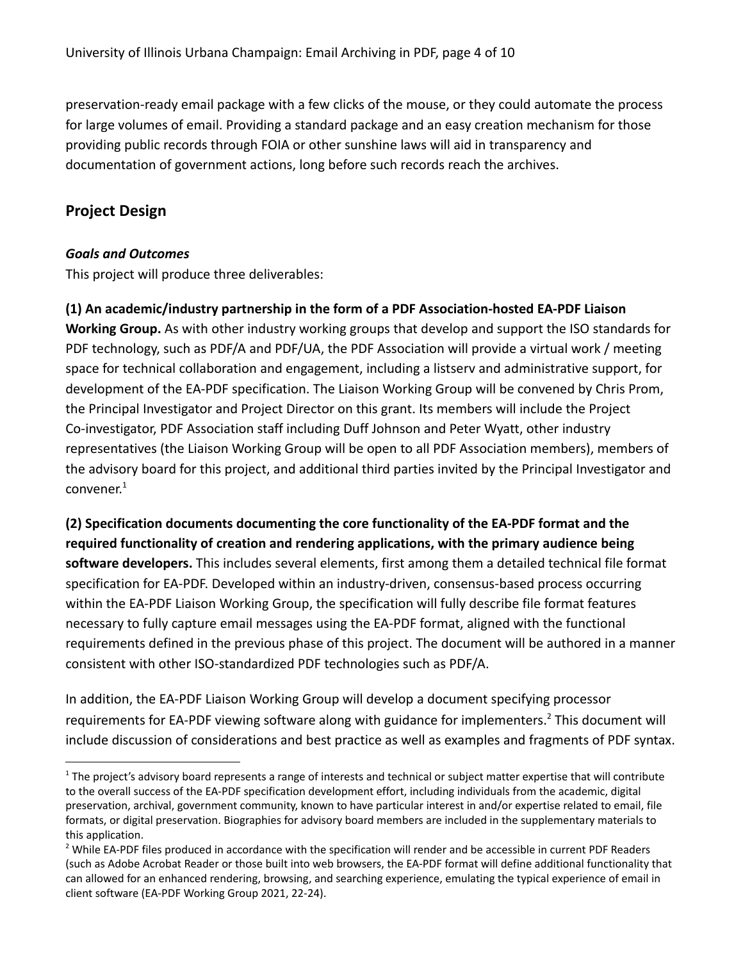preservation-ready email package with a few clicks of the mouse, or they could automate the process for large volumes of email. Providing a standard package and an easy creation mechanism for those providing public records through FOIA or other sunshine laws will aid in transparency and documentation of government actions, long before such records reach the archives.

# <span id="page-3-0"></span>**Project Design**

## <span id="page-3-1"></span>*Goals and Outcomes*

This project will produce three deliverables:

# **(1) An academic/industry partnership in the form of a PDF Association-hosted EA-PDF Liaison**

**Working Group.** As with other industry working groups that develop and support the ISO standards for PDF technology, such as PDF/A and PDF/UA, the PDF Association will provide a virtual work / meeting space for technical collaboration and engagement, including a listserv and administrative support, for development of the EA-PDF specification. The Liaison Working Group will be convened by Chris Prom, the Principal Investigator and Project Director on this grant. Its members will include the Project Co-investigator, PDF Association staff including Duff Johnson and Peter Wyatt, other industry representatives (the Liaison Working Group will be open to all PDF Association members), members of the advisory board for this project, and additional third parties invited by the Principal Investigator and convener. 1

**(2) Specification documents documenting the core functionality of the EA‐PDF format and the required functionality of creation and rendering applications, with the primary audience being software developers.** This includes several elements, first among them a detailed technical file format specification for EA-PDF. Developed within an industry-driven, consensus-based process occurring within the EA-PDF Liaison Working Group, the specification will fully describe file format features necessary to fully capture email messages using the EA-PDF format, aligned with the functional requirements defined in the previous phase of this project. The document will be authored in a manner consistent with other ISO-standardized PDF technologies such as PDF/A.

In addition, the EA-PDF Liaison Working Group will develop a document specifying processor requirements for EA-PDF viewing software along with guidance for implementers.<sup>2</sup> This document will include discussion of considerations and best practice as well as examples and fragments of PDF syntax.

 $1$  The project's advisory board represents a range of interests and technical or subject matter expertise that will contribute to the overall success of the EA-PDF specification development effort, including individuals from the academic, digital preservation, archival, government community, known to have particular interest in and/or expertise related to email, file formats, or digital preservation. Biographies for advisory board members are included in the supplementary materials to this application.

<sup>&</sup>lt;sup>2</sup> While EA-PDF files produced in accordance with the specification will render and be accessible in current PDF Readers (such as Adobe Acrobat Reader or those built into web browsers, the EA-PDF format will define additional functionality that can allowed for an enhanced rendering, browsing, and searching experience, emulating the typical experience of email in client software (EA-PDF Working Group 2021, 22-24).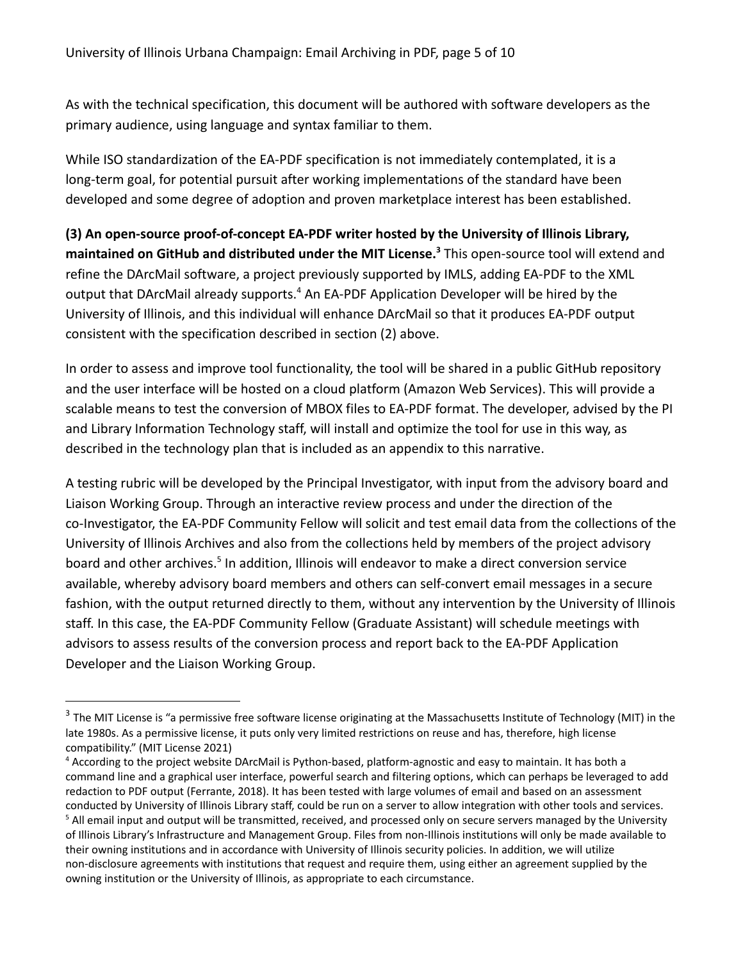As with the technical specification, this document will be authored with software developers as the primary audience, using language and syntax familiar to them.

While ISO standardization of the EA-PDF specification is not immediately contemplated, it is a long-term goal, for potential pursuit after working implementations of the standard have been developed and some degree of adoption and proven marketplace interest has been established.

**(3) An open-source proof‐of‐concept EA‐PDF writer hosted by the University of Illinois Library, maintained on GitHub and distributed under the MIT License.** This open-source tool will extend and **<sup>3</sup>** refine the DArcMail software, a project previously supported by IMLS, adding EA-PDF to the XML output that DArcMail already supports.<sup>4</sup> An EA-PDF Application Developer will be hired by the University of Illinois, and this individual will enhance DArcMail so that it produces EA-PDF output consistent with the specification described in section (2) above.

In order to assess and improve tool functionality, the tool will be shared in a public GitHub repository and the user interface will be hosted on a cloud platform (Amazon Web Services). This will provide a scalable means to test the conversion of MBOX files to EA-PDF format. The developer, advised by the PI and Library Information Technology staff, will install and optimize the tool for use in this way, as described in the technology plan that is included as an appendix to this narrative.

A testing rubric will be developed by the Principal Investigator, with input from the advisory board and Liaison Working Group. Through an interactive review process and under the direction of the co-Investigator, the EA-PDF Community Fellow will solicit and test email data from the collections of the University of Illinois Archives and also from the collections held by members of the project advisory board and other archives.<sup>5</sup> In addition, Illinois will endeavor to make a direct conversion service available, whereby advisory board members and others can self-convert email messages in a secure fashion, with the output returned directly to them, without any intervention by the University of Illinois staff. In this case, the EA-PDF Community Fellow (Graduate Assistant) will schedule meetings with advisors to assess results of the conversion process and report back to the EA-PDF Application Developer and the Liaison Working Group.

<sup>&</sup>lt;sup>3</sup> The MIT License is "a permissive free software license originating at the Massachusetts Institute of Technology (MIT) in the late 1980s. As a permissive license, it puts only very limited restrictions on reuse and has, therefore, high license compatibility." (MIT License 2021)

<sup>&</sup>lt;sup>5</sup> All email input and output will be transmitted, received, and processed only on secure servers managed by the University of Illinois Library's Infrastructure and Management Group. Files from non-Illinois institutions will only be made available to their owning institutions and in accordance with University of Illinois security policies. In addition, we will utilize non-disclosure agreements with institutions that request and require them, using either an agreement supplied by the owning institution or the University of Illinois, as appropriate to each circumstance. <sup>4</sup> According to the project website DArcMail is Python-based, platform-agnostic and easy to maintain. It has both a command line and a graphical user interface, powerful search and filtering options, which can perhaps be leveraged to add redaction to PDF output (Ferrante, 2018). It has been tested with large volumes of email and based on an assessment conducted by University of Illinois Library staff, could be run on a server to allow integration with other tools and services.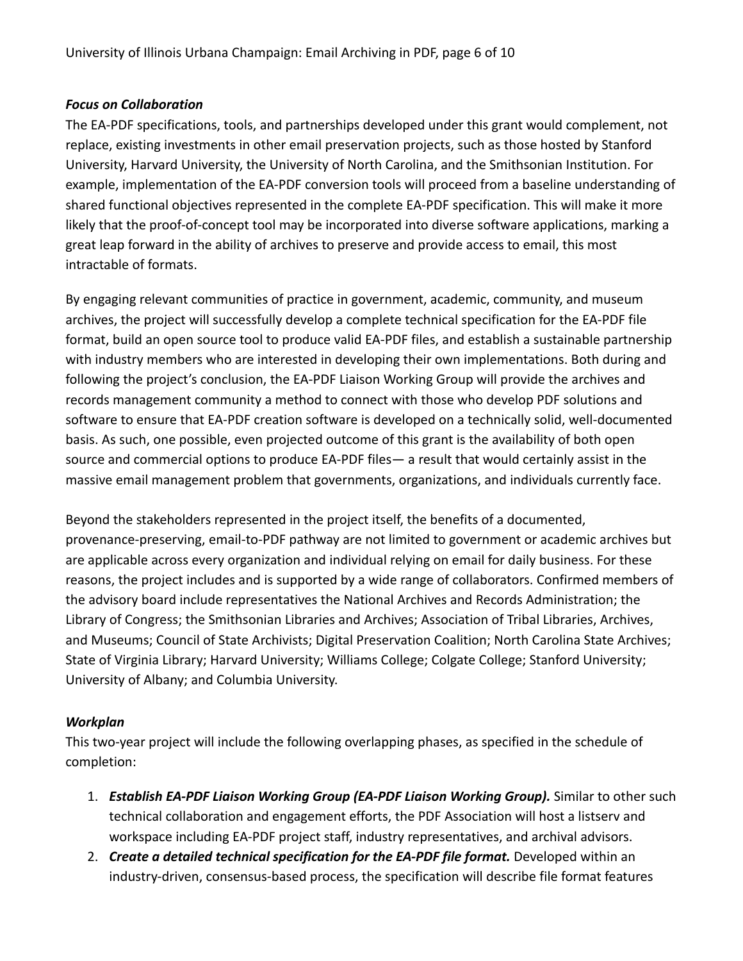### <span id="page-5-0"></span>*Focus on Collaboration*

The EA‐PDF specifications, tools, and partnerships developed under this grant would complement, not replace, existing investments in other email preservation projects, such as those hosted by Stanford University, Harvard University, the University of North Carolina, and the Smithsonian Institution. For example, implementation of the EA-PDF conversion tools will proceed from a baseline understanding of shared functional objectives represented in the complete EA-PDF specification. This will make it more likely that the proof-of-concept tool may be incorporated into diverse software applications, marking a great leap forward in the ability of archives to preserve and provide access to email, this most intractable of formats.

By engaging relevant communities of practice in government, academic, community, and museum archives, the project will successfully develop a complete technical specification for the EA-PDF file format, build an open source tool to produce valid EA-PDF files, and establish a sustainable partnership with industry members who are interested in developing their own implementations. Both during and following the project's conclusion, the EA-PDF Liaison Working Group will provide the archives and records management community a method to connect with those who develop PDF solutions and software to ensure that EA-PDF creation software is developed on a technically solid, well-documented basis. As such, one possible, even projected outcome of this grant is the availability of both open source and commercial options to produce EA-PDF files— a result that would certainly assist in the massive email management problem that governments, organizations, and individuals currently face.

Beyond the stakeholders represented in the project itself, the benefits of a documented, provenance-preserving, email-to-PDF pathway are not limited to government or academic archives but are applicable across every organization and individual relying on email for daily business. For these reasons, the project includes and is supported by a wide range of collaborators. Confirmed members of the advisory board include representatives the National Archives and Records Administration; the Library of Congress; the Smithsonian Libraries and Archives; Association of Tribal Libraries, Archives, and Museums; Council of State Archivists; Digital Preservation Coalition; North Carolina State Archives; State of Virginia Library; Harvard University; Williams College; Colgate College; Stanford University; University of Albany; and Columbia University.

#### <span id="page-5-1"></span>*Workplan*

This two-year project will include the following overlapping phases, as specified in the schedule of completion:

- 1. *Establish EA-PDF Liaison Working Group (EA-PDF Liaison Working Group).* Similar to other such technical collaboration and engagement efforts, the PDF Association will host a listserv and workspace including EA-PDF project staff, industry representatives, and archival advisors.
- 2. *Create a detailed technical specification for the EA-PDF file format.* Developed within an industry-driven, consensus-based process, the specification will describe file format features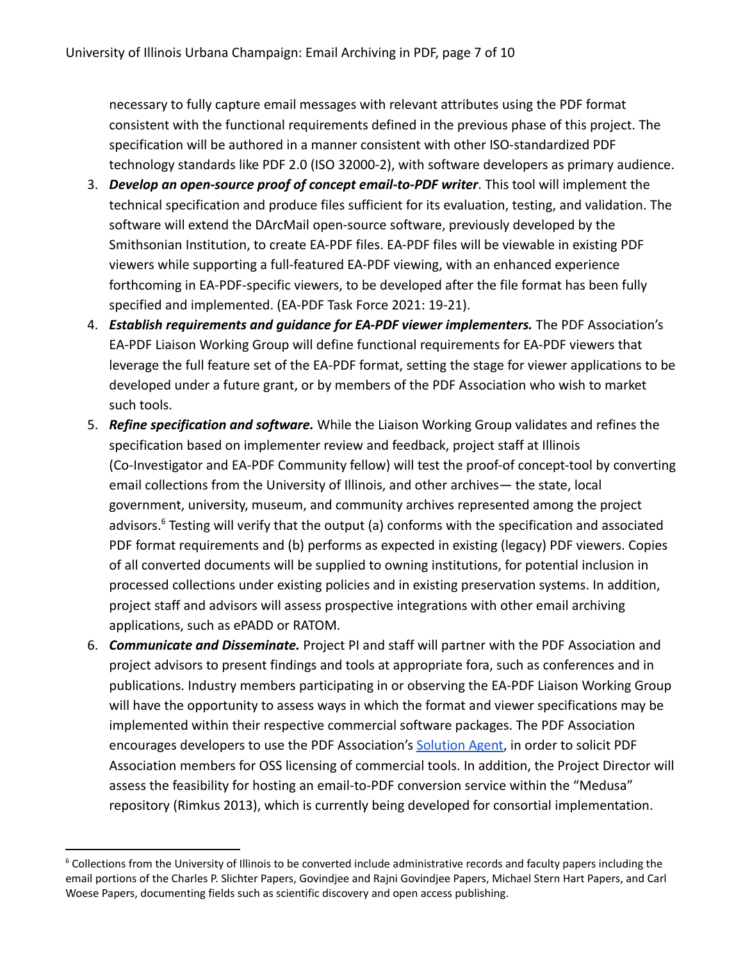necessary to fully capture email messages with relevant attributes using the PDF format consistent with the functional requirements defined in the previous phase of this project. The specification will be authored in a manner consistent with other ISO-standardized PDF technology standards like PDF 2.0 (ISO 32000-2), with software developers as primary audience.

- 3. *Develop an open-source proof of concept email-to-PDF writer*. This tool will implement the technical specification and produce files sufficient for its evaluation, testing, and validation. The software will extend the DArcMail open-source software, previously developed by the Smithsonian Institution, to create EA-PDF files. EA-PDF files will be viewable in existing PDF viewers while supporting a full-featured EA-PDF viewing, with an enhanced experience forthcoming in EA-PDF-specific viewers, to be developed after the file format has been fully specified and implemented. (EA-PDF Task Force 2021: 19-21).
- 4. *Establish requirements and guidance for EA-PDF viewer implementers.* The PDF Association's EA-PDF Liaison Working Group will define functional requirements for EA-PDF viewers that leverage the full feature set of the EA-PDF format, setting the stage for viewer applications to be developed under a future grant, or by members of the PDF Association who wish to market such tools.
- 5. *Refine specification and software.* While the Liaison Working Group validates and refines the specification based on implementer review and feedback, project staff at Illinois (Co-Investigator and EA-PDF Community fellow) will test the proof-of concept-tool by converting email collections from the University of Illinois, and other archives— the state, local government, university, museum, and community archives represented among the project advisors. $6$  Testing will verify that the output (a) conforms with the specification and associated PDF format requirements and (b) performs as expected in existing (legacy) PDF viewers. Copies of all converted documents will be supplied to owning institutions, for potential inclusion in processed collections under existing policies and in existing preservation systems. In addition, project staff and advisors will assess prospective integrations with other email archiving applications, such as ePADD or RATOM.
- 6. *Communicate and Disseminate.* Project PI and staff will partner with the PDF Association and project advisors to present findings and tools at appropriate fora, such as conferences and in publications. Industry members participating in or observing the EA-PDF Liaison Working Group will have the opportunity to assess ways in which the format and viewer specifications may be implemented within their respective commercial software packages. The PDF Association encourages developers to use the PDF Association's [Solution Agent](https://www.pdfa.org/solution-agent/), in order to solicit PDF Association members for OSS licensing of commercial tools. In addition, the Project Director will assess the feasibility for hosting an email-to-PDF conversion service within the "Medusa" repository (Rimkus 2013), which is currently being developed for consortial implementation.

<sup>&</sup>lt;sup>6</sup> Collections from the University of Illinois to be converted include administrative records and faculty papers including the email portions of the Charles P. Slichter Papers, Govindjee and Rajni Govindjee Papers, Michael Stern Hart Papers, and Carl Woese Papers, documenting fields such as scientific discovery and open access publishing.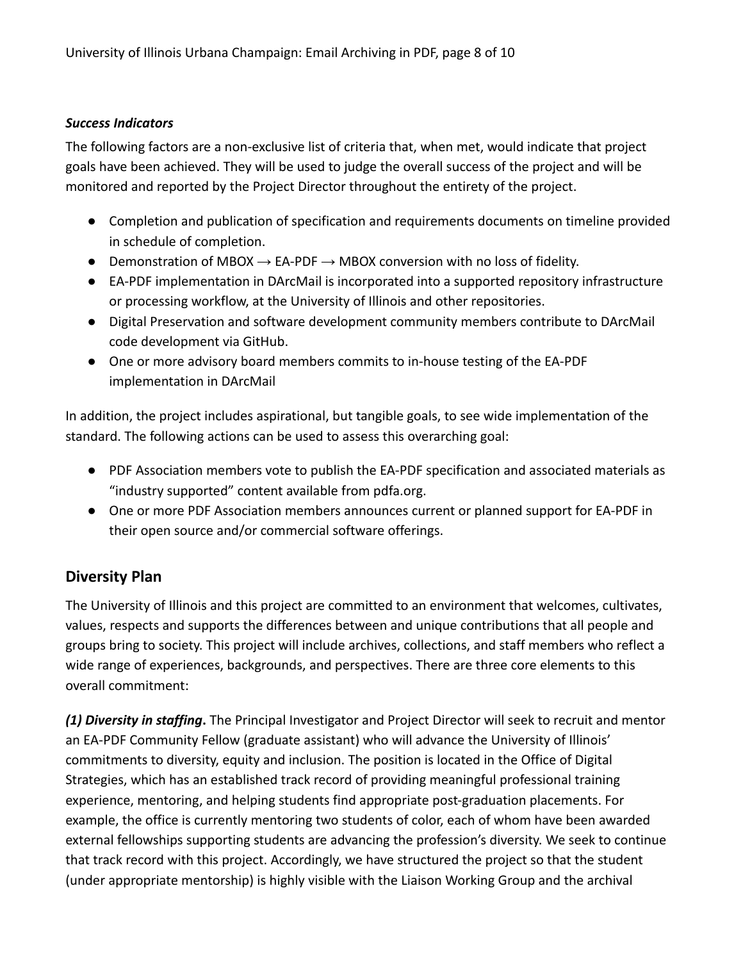### <span id="page-7-0"></span>*Success Indicators*

The following factors are a non-exclusive list of criteria that, when met, would indicate that project goals have been achieved. They will be used to judge the overall success of the project and will be monitored and reported by the Project Director throughout the entirety of the project.

- Completion and publication of specification and requirements documents on timeline provided in schedule of completion.
- Demonstration of MBOX  $\rightarrow$  EA-PDF  $\rightarrow$  MBOX conversion with no loss of fidelity.
- EA-PDF implementation in DArcMail is incorporated into a supported repository infrastructure or processing workflow, at the University of Illinois and other repositories.
- Digital Preservation and software development community members contribute to DArcMail code development via GitHub.
- One or more advisory board members commits to in-house testing of the EA-PDF implementation in DArcMail

In addition, the project includes aspirational, but tangible goals, to see wide implementation of the standard. The following actions can be used to assess this overarching goal:

- PDF Association members vote to publish the EA-PDF specification and associated materials as "industry supported" content available from pdfa.org.
- One or more PDF Association members announces current or planned support for EA-PDF in their open source and/or commercial software offerings.

# <span id="page-7-1"></span>**Diversity Plan**

The University of Illinois and this project are committed to an environment that welcomes, cultivates, values, respects and supports the differences between and unique contributions that all people and groups bring to society. This project will include archives, collections, and staff members who reflect a wide range of experiences, backgrounds, and perspectives. There are three core elements to this overall commitment:

*(1) Diversity in staffing***.** The Principal Investigator and Project Director will seek to recruit and mentor an EA-PDF Community Fellow (graduate assistant) who will advance the University of Illinois' commitments to diversity, equity and inclusion. The position is located in the Office of Digital Strategies, which has an established track record of providing meaningful professional training experience, mentoring, and helping students find appropriate post-graduation placements. For example, the office is currently mentoring two students of color, each of whom have been awarded external fellowships supporting students are advancing the profession's diversity. We seek to continue that track record with this project. Accordingly, we have structured the project so that the student (under appropriate mentorship) is highly visible with the Liaison Working Group and the archival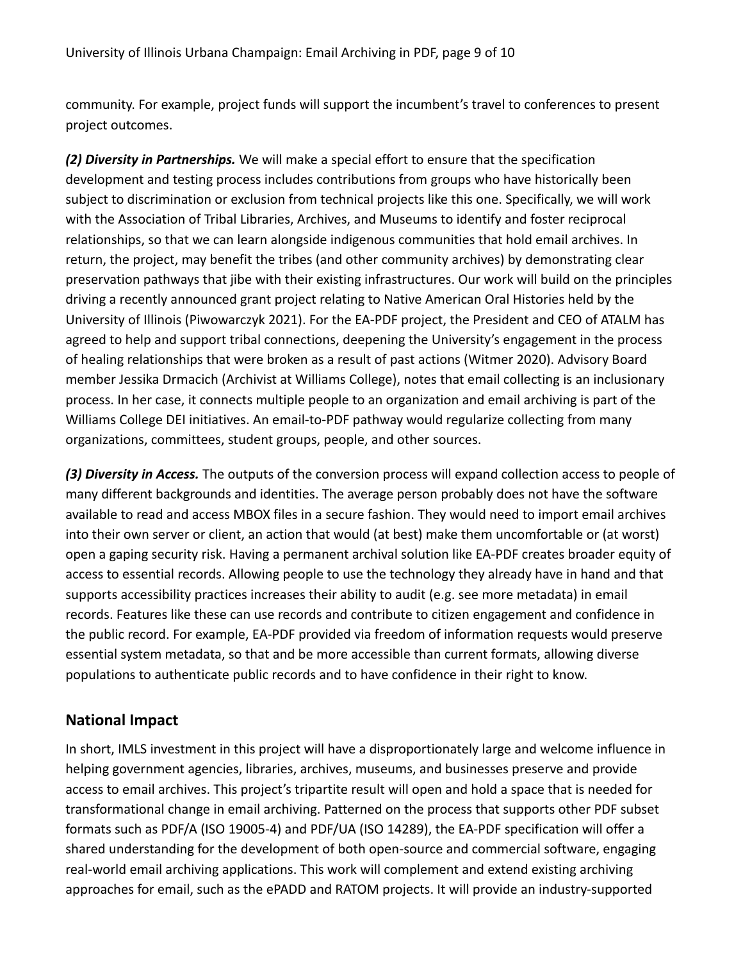community. For example, project funds will support the incumbent's travel to conferences to present project outcomes.

*(2) Diversity in Partnerships.* We will make a special effort to ensure that the specification development and testing process includes contributions from groups who have historically been subject to discrimination or exclusion from technical projects like this one. Specifically, we will work with the Association of Tribal Libraries, Archives, and Museums to identify and foster reciprocal relationships, so that we can learn alongside indigenous communities that hold email archives. In return, the project, may benefit the tribes (and other community archives) by demonstrating clear preservation pathways that jibe with their existing infrastructures. Our work will build on the principles driving a recently announced grant project relating to Native American Oral Histories held by the University of Illinois (Piwowarczyk 2021). For the EA-PDF project, the President and CEO of ATALM has agreed to help and support tribal connections, deepening the University's engagement in the process of healing relationships that were broken as a result of past actions (Witmer 2020). Advisory Board member Jessika Drmacich (Archivist at Williams College), notes that email collecting is an inclusionary process. In her case, it connects multiple people to an organization and email archiving is part of the Williams College DEI initiatives. An email-to-PDF pathway would regularize collecting from many organizations, committees, student groups, people, and other sources.

*(3) Diversity in Access.* The outputs of the conversion process will expand collection access to people of many different backgrounds and identities. The average person probably does not have the software available to read and access MBOX files in a secure fashion. They would need to import email archives into their own server or client, an action that would (at best) make them uncomfortable or (at worst) open a gaping security risk. Having a permanent archival solution like EA-PDF creates broader equity of access to essential records. Allowing people to use the technology they already have in hand and that supports accessibility practices increases their ability to audit (e.g. see more metadata) in email records. Features like these can use records and contribute to citizen engagement and confidence in the public record. For example, EA-PDF provided via freedom of information requests would preserve essential system metadata, so that and be more accessible than current formats, allowing diverse populations to authenticate public records and to have confidence in their right to know.

# <span id="page-8-0"></span>**National Impact**

In short, IMLS investment in this project will have a disproportionately large and welcome influence in helping government agencies, libraries, archives, museums, and businesses preserve and provide access to email archives. This project's tripartite result will open and hold a space that is needed for transformational change in email archiving. Patterned on the process that supports other PDF subset formats such as PDF/A (ISO 19005-4) and PDF/UA (ISO 14289), the EA-PDF specification will offer a shared understanding for the development of both open-source and commercial software, engaging real-world email archiving applications. This work will complement and extend existing archiving approaches for email, such as the ePADD and RATOM projects. It will provide an industry-supported